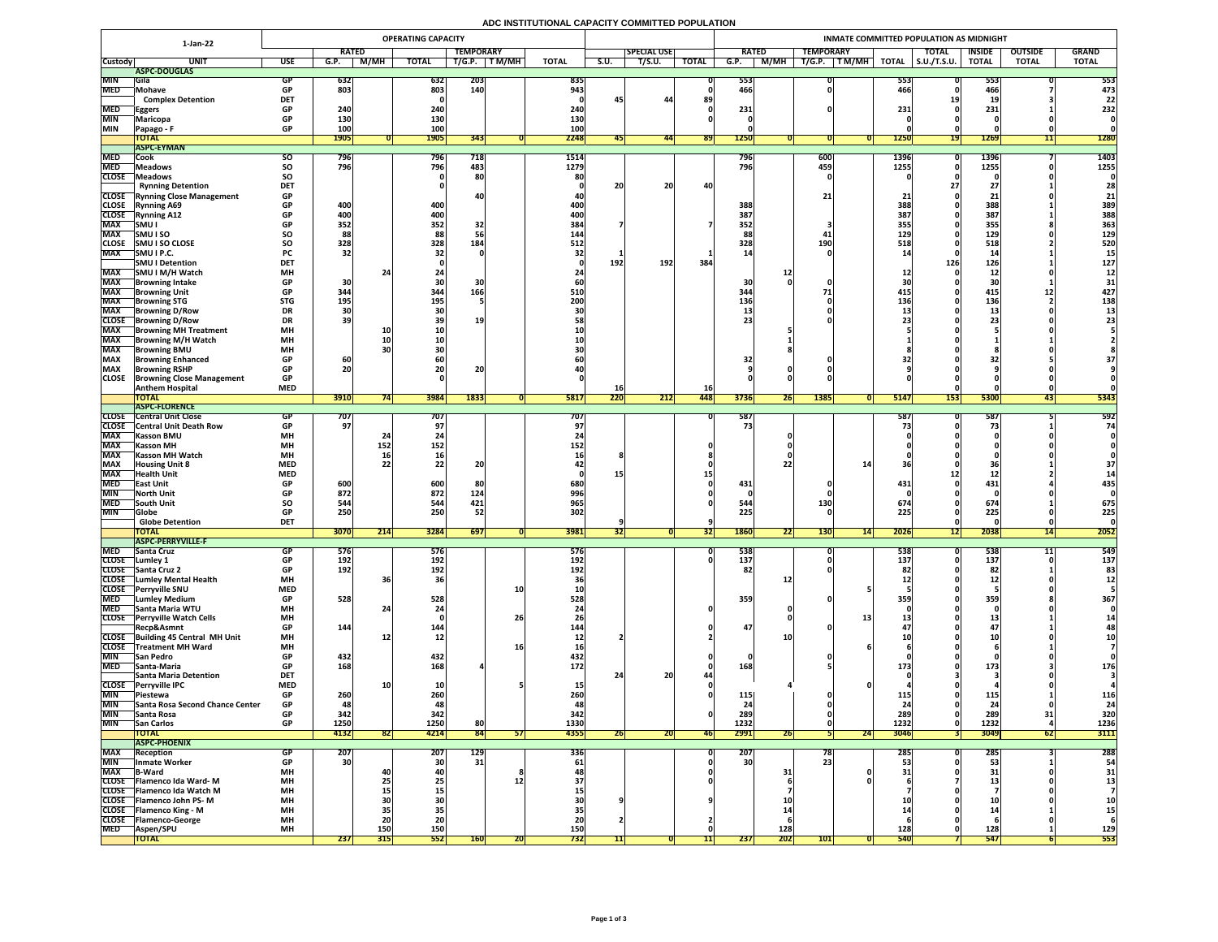# **ADC INSTITUTIONAL CAPACITY COMMITTED POPULATION**

|                            | 1-Jan-22                                                         | <b>OPERATING CAPACITY</b> |                   |              |                 |                  |                 |                         |             |                    |              | INMATE COMMITTED POPULATION AS MIDNIGHT |                                 |                                |                 |                     |                  |                |              |  |  |  |
|----------------------------|------------------------------------------------------------------|---------------------------|-------------------|--------------|-----------------|------------------|-----------------|-------------------------|-------------|--------------------|--------------|-----------------------------------------|---------------------------------|--------------------------------|-----------------|---------------------|------------------|----------------|--------------|--|--|--|
|                            |                                                                  |                           |                   | <b>RATED</b> |                 | <b>TEMPORARY</b> |                 |                         |             | <b>SPECIAL USE</b> |              | <b>RATED</b>                            |                                 | <b>TEMPORARY</b>               |                 | <b>TOTAL</b>        | <b>INSIDE</b>    | <b>OUTSIDE</b> | <b>GRAND</b> |  |  |  |
| <b>Custody</b>             | <b>UNIT</b>                                                      | <b>USE</b>                | G.P.              | <b>M/MH</b>  | <b>TOTAL</b>    | T/G.P.           | T M/MH          | <b>TOTAL</b>            | <b>S.U.</b> | T/S.U.             | <b>TOTAL</b> | G.P.                                    | M/MH                            | $\top$ T M/MH $\top$<br>T/G.P. | <b>TOTAL</b>    | $\vert$ S.U./T.S.U. | <b>TOTAL</b>     | <b>TOTAL</b>   | <b>TOTAL</b> |  |  |  |
|                            | ASPC-DOUGLAS                                                     |                           |                   |              |                 |                  |                 |                         |             |                    |              |                                         |                                 |                                |                 |                     |                  |                |              |  |  |  |
| <b>MIN</b><br><b>MED</b>   | <b>Sila</b><br>Mohave                                            | <b>GP</b>                 | 632<br>803        |              | 632<br>803      | 203<br>140       |                 | 835<br>943 <sub>1</sub> |             |                    |              | 553<br>466                              |                                 |                                | 553<br>466      |                     | 553<br>466       |                | 553<br>473   |  |  |  |
|                            | <b>Complex Detention</b>                                         | <b>DET</b>                |                   |              |                 |                  |                 |                         | 45          | 44                 | 89           |                                         |                                 |                                |                 |                     | ᅠᆂこ              |                | 22           |  |  |  |
| <b>MED</b>                 | <b>Eggers</b>                                                    | <b>GP</b>                 | 240               |              | 240             |                  |                 | 240                     |             |                    |              | 231                                     |                                 |                                | 231             |                     | 231              |                | 232          |  |  |  |
| <b>MIN</b>                 | Maricopa                                                         | <b>GP</b>                 | 130               |              | 130             |                  |                 | 130                     |             |                    |              |                                         |                                 |                                |                 |                     |                  |                |              |  |  |  |
| <b>MIN</b>                 | Papago - F                                                       | <b>GP</b>                 | <b>100</b>        |              | 100             |                  |                 | 100                     |             |                    |              |                                         |                                 |                                |                 |                     |                  |                |              |  |  |  |
|                            | <b>TOTAL</b><br><b>ASPC-EYMAN</b>                                |                           | <b>1905</b>       |              | <b>1905</b>     | 343              |                 | 2248                    |             | 441                | <b>891</b>   | 1250                                    |                                 |                                | <b>1250</b>     |                     | 1269             | 11             | <b>1280</b>  |  |  |  |
| <b>MED</b>                 | Cook                                                             | SO.                       | 796               |              | <b>796</b>      | 718              |                 | 1514                    |             |                    |              | 796                                     |                                 | 600                            | 1396            |                     | 1396             |                | 1403         |  |  |  |
| <b>MED</b>                 | <b>Meadows</b>                                                   | <b>SO</b>                 | 796               |              | 796             | 483              |                 | 1279                    |             |                    |              | 796                                     |                                 | 459                            | 1255            |                     | 1255             |                | 1255         |  |  |  |
| <b>CLOSE</b>               | Meadows                                                          | SO                        |                   |              |                 | 80               |                 | 80                      |             |                    |              |                                         |                                 |                                |                 |                     |                  |                |              |  |  |  |
|                            | <b>Rynning Detention</b>                                         | <b>DET</b>                |                   |              |                 |                  |                 |                         | 20          | 20                 | 40           |                                         |                                 |                                |                 |                     | $\epsilon$       |                | 28           |  |  |  |
|                            | <b>CLOSE</b> Rynning Close Management                            | <b>GP</b>                 |                   |              |                 |                  |                 |                         |             |                    |              |                                         |                                 | 21 <sub>1</sub>                |                 |                     |                  |                | 21           |  |  |  |
| <b>CLOSE</b>               | <b>Rynning A69</b>                                               | <b>GP</b>                 | 400               |              | 400             |                  |                 | 400                     |             |                    |              | 388                                     |                                 |                                | 388             |                     | 388              |                | 389          |  |  |  |
| <b>CLOSE</b><br><b>MAX</b> | <b>Rynning A12</b><br> SMU                                       | <b>GP</b><br><b>GP</b>    | 400<br>352        |              | 400<br>352      | 32               |                 | 400 <br>384             |             |                    |              | 387<br>352                              |                                 |                                | 387 <br>355     |                     | 387<br>355       |                | 388<br>363   |  |  |  |
| <b>MAX</b>                 | <b>SMUISO</b>                                                    | SO                        | 88                |              | 88              |                  |                 | 144                     |             |                    |              | 88                                      |                                 | 41                             | 129             |                     | 129              |                | 129          |  |  |  |
| <b>CLOSE</b>               | <b>SMU I SO CLOSE</b>                                            | <b>SO</b>                 | 328               |              | 328             | 184              |                 | 512                     |             |                    |              | 328                                     |                                 | <b>190</b>                     | 518             |                     | 518              |                | 520          |  |  |  |
| <b>MAX</b>                 | SMU I P.C.                                                       | <b>PC</b>                 | 32                |              |                 |                  |                 |                         |             |                    |              |                                         |                                 |                                |                 |                     | -41              |                |              |  |  |  |
|                            | <b>SMU I Detention</b>                                           | <b>DET</b>                |                   |              |                 |                  |                 |                         | 192         | 192                | 384          |                                         |                                 |                                |                 | 126                 | 126              |                | 127          |  |  |  |
| <b>MAX</b>                 | SMU I M/H Watch                                                  | <b>MH</b>                 |                   |              |                 |                  |                 |                         |             |                    |              |                                         |                                 |                                |                 |                     | $\perp$ $\angle$ |                |              |  |  |  |
| <b>MAX</b>                 | <b>Browning Intake</b>                                           | <b>GP</b>                 | 30                |              |                 |                  |                 |                         |             |                    |              | 30                                      |                                 |                                |                 |                     | 30               |                |              |  |  |  |
| <b>MAX</b><br><b>MAX</b>   | <b>Browning Unit</b><br><b>Browning STG</b>                      | <b>GP</b><br><b>STG</b>   | 344<br><b>195</b> |              | 344<br>195      | 166              |                 | 510<br>200              |             |                    |              | 344<br>136                              |                                 |                                | 415<br>136      |                     | 415<br>136       | ┻┻             | 427<br>138   |  |  |  |
| <b>MAX</b>                 | <b>Browning D/Row</b>                                            | <b>DR</b>                 |                   |              |                 |                  |                 |                         |             |                    |              |                                         |                                 |                                |                 |                     | --               |                |              |  |  |  |
| <b>CLOSE</b>               | <b>Browning D/Row</b>                                            | <b>DR</b>                 | 39                |              |                 | <b>19</b>        |                 |                         |             |                    |              | 23                                      |                                 |                                |                 |                     |                  |                |              |  |  |  |
| <b>MAX</b>                 | <b>Browning MH Treatment</b>                                     | <b>MH</b>                 |                   | <b>10</b>    |                 |                  |                 |                         |             |                    |              |                                         |                                 |                                |                 |                     |                  |                |              |  |  |  |
| <b>MAX</b>                 | <b>TBrowning M/H Watch</b>                                       | <b>MH</b>                 |                   |              |                 |                  |                 |                         |             |                    |              |                                         |                                 |                                |                 |                     |                  |                |              |  |  |  |
| <b>MAX</b>                 | <b>Browning BMU</b>                                              | <b>MH</b>                 |                   |              |                 |                  |                 |                         |             |                    |              |                                         |                                 |                                |                 |                     |                  |                |              |  |  |  |
| <b>MAX</b><br><b>MAX</b>   | <b>Browning Enhanced</b><br><b>Browning RSHP</b>                 | <b>GP</b><br><b>GP</b>    | 60<br>20          |              |                 | nn.              |                 |                         |             |                    |              | 32                                      |                                 |                                |                 |                     |                  |                |              |  |  |  |
| <b>CLOSE</b>               | <b>Browning Close Management</b>                                 | <b>GP</b>                 |                   |              | ZU              | ZU               |                 |                         |             |                    |              |                                         |                                 |                                |                 |                     |                  |                |              |  |  |  |
|                            | <b>Anthem Hospital</b>                                           | <b>MED</b>                |                   |              |                 |                  |                 |                         | TO          |                    | <b>16</b>    |                                         |                                 |                                |                 |                     |                  |                |              |  |  |  |
|                            | <b>TOTAL</b>                                                     |                           | 3910              |              | 3984            | 1833             |                 | 5817                    | 220         | 212                | 448          | 3736                                    | <b>26</b>                       | 1385                           | <b>5147</b>     | <b>153</b>          | 5300             | 43             | 5343         |  |  |  |
|                            | <b>TASPC-FLORENCE</b>                                            |                           |                   |              |                 |                  |                 |                         |             |                    |              |                                         |                                 |                                |                 |                     |                  |                |              |  |  |  |
| <b>CLOSE</b>               | <b>Central Unit Close</b><br><b>CLOSE</b> Central Unit Death Row |                           | /0/<br>97         |              | 707             |                  |                 | 707                     |             |                    |              | 587                                     |                                 |                                | 587             |                     | 587              |                | 592<br>74    |  |  |  |
| <b>MAX</b>                 | <b>Kasson BMU</b>                                                | <b>MH</b>                 |                   |              |                 |                  |                 |                         |             |                    |              |                                         |                                 |                                |                 |                     |                  |                |              |  |  |  |
| <b>MAX</b>                 | <b>Kasson MH</b>                                                 | <b>MH</b>                 |                   | 152          | 152             |                  |                 | 152                     |             |                    |              |                                         |                                 |                                |                 |                     |                  |                |              |  |  |  |
| <b>MAX</b>                 | <b>Kasson MH Watch</b>                                           | <b>MH</b>                 |                   | <b>16</b>    |                 |                  |                 |                         |             |                    |              |                                         |                                 |                                |                 |                     |                  |                |              |  |  |  |
| <b>MAX</b>                 | <b>Housing Unit 8</b>                                            | <b>MED</b>                |                   |              | 22 <sub>1</sub> | CO.              |                 |                         |             |                    |              |                                         |                                 |                                |                 |                     |                  |                |              |  |  |  |
| <b>MAX</b>                 | <b>Health Unit</b>                                               | <b>MED</b>                |                   |              |                 |                  |                 |                         |             |                    |              |                                         |                                 |                                |                 |                     |                  |                |              |  |  |  |
| <b>MED</b><br><b>MIN</b>   | <b>East Unit</b><br>North Unit                                   |                           | 600<br>872        |              | 600<br>872      | 80<br>124        |                 | 680<br>996              |             |                    |              | 431                                     |                                 |                                | 431             |                     | 431              |                | 435          |  |  |  |
| <b>MED</b>                 | <b>South Unit</b>                                                | <b>SO</b>                 | 544               |              | 544             | 421              |                 | 965                     |             |                    |              | 544                                     |                                 | 130                            | 674             |                     | 67 <sup>2</sup>  |                | 675          |  |  |  |
| <b>MIN</b>                 | <b>Globe</b>                                                     |                           | 250               |              | 250             | 52               |                 | 302                     |             |                    |              | 225                                     |                                 |                                | 225             |                     | 225              |                | 225          |  |  |  |
|                            | <b>Globe Detention</b>                                           | <b>DET</b>                |                   |              |                 |                  |                 |                         |             |                    |              |                                         |                                 |                                |                 |                     |                  |                |              |  |  |  |
|                            | <b>TOTAL</b>                                                     |                           | <b>3070</b>       | 214          | 3284            | 697              |                 | 3981                    | 52          |                    | [32]         | <b>1860</b>                             | $\overline{\phantom{a}}$<br> 22 | <b>130</b><br> 14              | 2026            | 1ZI                 | 2038             | 14             | 2052         |  |  |  |
| <b>MED</b>                 | <b>ASPC-PERRYVILLE-F</b><br><b>Santa Cruz</b>                    |                           |                   |              |                 |                  |                 |                         |             |                    |              | 538                                     |                                 |                                | 538             |                     |                  |                | 549          |  |  |  |
| <b>CLOSE</b>               | Lumley 1                                                         | GP                        | 576<br>192        |              | 576<br>192      |                  |                 | <b>576</b><br>192       |             |                    |              | 137                                     |                                 |                                | 137             |                     | 538<br>137       |                | 137          |  |  |  |
|                            | CLOSE Santa Cruz 2                                               | <b>GP</b>                 | 192               |              | 192             |                  |                 | 192                     |             |                    |              | 82                                      |                                 |                                |                 |                     | 82               |                |              |  |  |  |
| <b>CLOSE</b>               | Lumley Mental Health                                             | <b>MH</b>                 |                   |              |                 |                  |                 |                         |             |                    |              |                                         |                                 |                                |                 |                     | ┻┻               |                |              |  |  |  |
| <b>CLOSE</b>               | <b>Perryville SNU</b>                                            | <b>MED</b>                |                   |              |                 |                  | <b>10</b>       |                         |             |                    |              |                                         |                                 |                                |                 |                     |                  |                |              |  |  |  |
| <b>MED</b>                 | <b>Lumley Medium</b>                                             | <b>GP</b>                 | 528               |              | 528             |                  |                 | 528                     |             |                    |              | 359                                     |                                 |                                | <b>359</b>      |                     | 359              |                | 367          |  |  |  |
| <b>MED</b><br><b>CLOSE</b> | Santa Maria WTU<br><b>Perryville Watch Cells</b>                 | <b>MH</b><br><b>MH</b>    |                   |              |                 |                  | 26              |                         |             |                    |              |                                         |                                 |                                |                 |                     |                  |                |              |  |  |  |
|                            | Recp&Asmnt                                                       | <b>GP</b>                 | 144               |              | 144             |                  |                 | 144                     |             |                    |              | 47                                      |                                 |                                |                 |                     |                  |                |              |  |  |  |
|                            | CLOSE Building 45 Central MH Unit                                | <b>MH</b>                 |                   |              | TV <sub>1</sub> |                  |                 |                         |             |                    |              |                                         |                                 |                                |                 |                     |                  |                |              |  |  |  |
| <b>CLOSE</b>               | Treatment MH Ward                                                | <b>MH</b>                 |                   |              |                 |                  |                 |                         |             |                    |              |                                         |                                 |                                |                 |                     |                  |                |              |  |  |  |
| <b>MIN</b>                 | <b>San Pedro</b>                                                 | <b>GP</b>                 | 432               |              | 432             |                  |                 | 432                     |             |                    |              |                                         |                                 |                                |                 |                     |                  |                |              |  |  |  |
| <b>MED</b>                 | <b>Santa-Maria</b>                                               | <b>GP</b>                 | 168               |              | 168             |                  |                 | 172 <sub>1</sub>        |             |                    |              | 168                                     |                                 |                                |                 |                     | 173              |                | 176          |  |  |  |
|                            | Santa Maria Detention<br>CLOSE Perryville IPC                    | <b>DET</b><br><b>MED</b>  |                   |              |                 |                  |                 |                         |             | 20                 |              |                                         |                                 |                                |                 |                     |                  |                |              |  |  |  |
| <b>MIN</b>                 | <b>Piestewa</b>                                                  |                           | 260               |              | 260             |                  |                 |                         |             |                    |              | 115                                     |                                 |                                |                 |                     | 115'             |                | 116          |  |  |  |
| <b>MIN</b>                 | <b>Santa Rosa Second Chance Center</b>                           | <b>GP</b>                 | 48                |              | 48              |                  |                 | 48                      |             |                    |              | 2 <sub>4</sub>                          |                                 |                                | --<br><b>CO</b> |                     | 2 <sub>4</sub>   |                | 24           |  |  |  |
| <b>MIN</b>                 | Santa Rosa                                                       |                           | 342               |              | 342             |                  |                 | 342                     |             |                    |              | 289                                     |                                 |                                | 289             |                     | 289              |                | 320          |  |  |  |
| <b>MIN</b>                 | <b>San Carlos</b>                                                | <b>GP</b>                 | 1250              |              | 1250            | 80               |                 | 1330                    |             |                    |              | 1232                                    |                                 |                                | 1232            |                     | 1232             |                | 1236         |  |  |  |
|                            | <b>TOTAL</b>                                                     |                           | 4132              | 821          | 4214            | 84               | 57 <sub>1</sub> | 4355                    | <b>26</b>   | ZUI                | <b>46</b>    | 2991                                    | 26                              | 24                             | 3046            |                     | 3049             | 62             | 3111         |  |  |  |
| <b>MAX</b>                 | <b>ASPC-PHOENIX</b><br>Reception                                 | GP                        | <b>207</b>        |              | 207             | <b>129</b>       |                 | 336                     |             |                    |              | 207                                     |                                 | 781                            | 285             |                     | 285              |                | 288          |  |  |  |
| <b>MIN</b>                 | <b>Inmate Worker</b>                                             | <b>GP</b>                 | 30                |              | 30 <sup>1</sup> | 31               |                 | 61                      |             |                    |              | 30 <sup>1</sup>                         |                                 | 23                             |                 |                     | 53               |                | 54           |  |  |  |
| <b>MAX</b>                 | <b>B-Ward</b>                                                    | <b>MH</b>                 |                   |              |                 |                  |                 |                         |             |                    |              |                                         | 31                              |                                |                 |                     |                  |                | 31           |  |  |  |
|                            | CLOSE   Flamenco Ida Ward-M                                      | <b>MH</b>                 |                   | Z J          | <b>Z5'</b>      |                  |                 |                         |             |                    |              |                                         |                                 |                                |                 |                     |                  |                |              |  |  |  |
|                            | CLOSE   Flamenco Ida Watch M                                     | <b>MH</b>                 |                   |              |                 |                  |                 |                         |             |                    |              |                                         |                                 |                                |                 |                     |                  |                |              |  |  |  |
|                            | CLOSE   Flamenco John PS-M<br><b>CLOSE</b> Flamenco King - M     | <b>MH</b><br><b>MH</b>    |                   |              |                 |                  |                 |                         |             |                    |              |                                         |                                 |                                |                 |                     |                  |                |              |  |  |  |
| <b>CLOSE</b>               | <b>Telamenco-George</b>                                          | <b>MH</b>                 |                   | ZL           | ZU              |                  |                 |                         |             |                    |              |                                         |                                 |                                |                 |                     |                  |                | TЭ           |  |  |  |
| <b>MED</b>                 | <b>Aspen/SPU</b>                                                 | <b>MH</b>                 |                   | <b>150</b>   | 150             |                  |                 | 150                     |             |                    |              |                                         | 128                             |                                | 128             |                     | 128              |                | 129          |  |  |  |
|                            | <b>TOTAL</b>                                                     |                           | 237               | 315          | 552             | <b>160</b>       | <b>ZU</b>       | 732                     |             |                    |              | 237                                     | $\boxed{202}$                   | 101                            | <b>540</b>      |                     | 547              |                | 553          |  |  |  |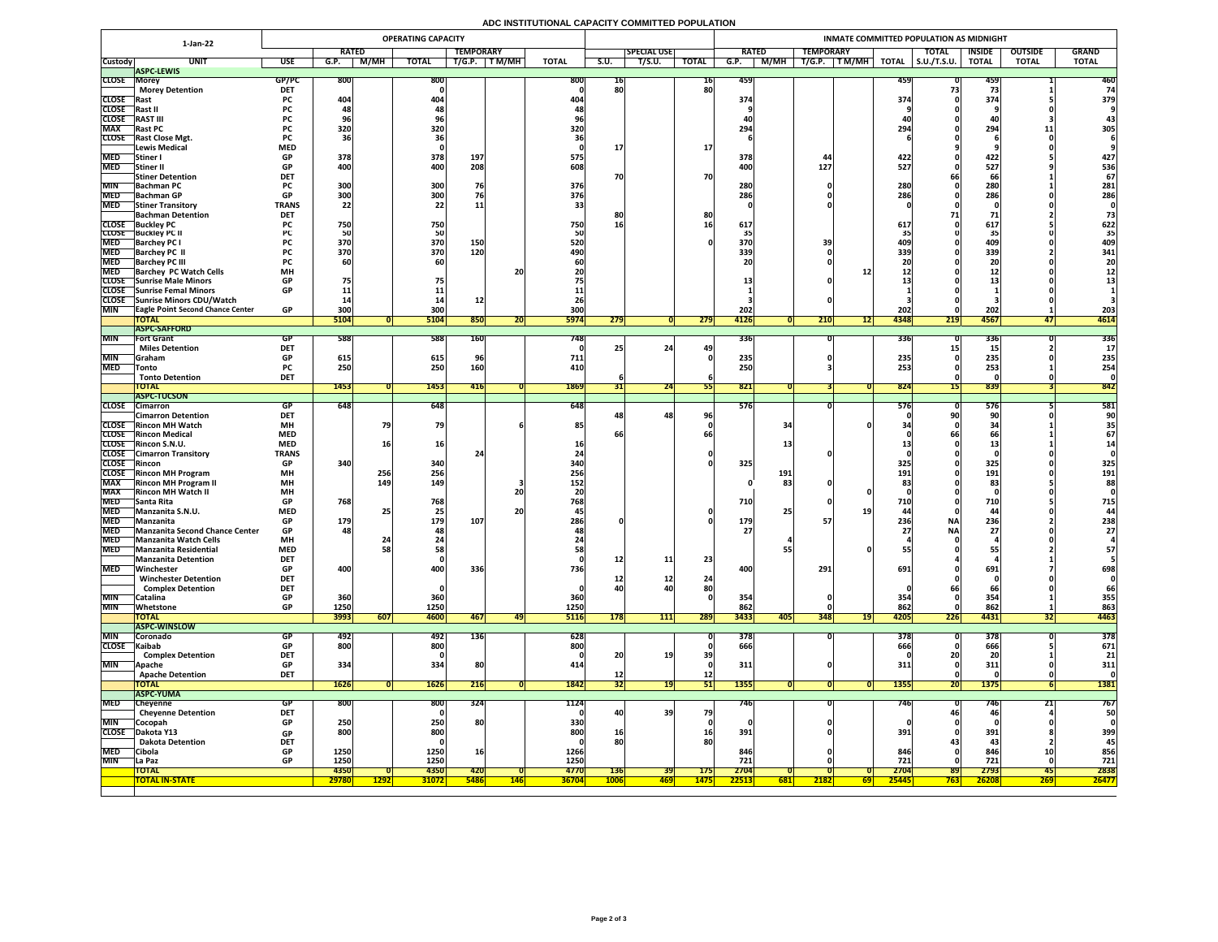# **ADC INSTITUTIONAL CAPACITY COMMITTED POPULATION**

|                          | <b>OPERATING CAPACITY</b><br>1-Jan-22                       |                         |              |               |                                |                  |            |                    |                 |                    |              | INMATE COMMITTED POPULATION AS MIDNIGHT |                  |                     |                         |                          |                |              |  |  |  |  |
|--------------------------|-------------------------------------------------------------|-------------------------|--------------|---------------|--------------------------------|------------------|------------|--------------------|-----------------|--------------------|--------------|-----------------------------------------|------------------|---------------------|-------------------------|--------------------------|----------------|--------------|--|--|--|--|
|                          |                                                             |                         | <b>RATED</b> |               |                                | <b>TEMPORARY</b> |            |                    |                 | <b>SPECIAL USE</b> |              | <b>RATED</b>                            | <b>TEMPORARY</b> |                     | <b>TOTAL</b>            | <b>INSIDE</b>            | <b>OUTSIDE</b> | <b>GRAND</b> |  |  |  |  |
| <b>Custody</b>           | <b>UNIT</b>                                                 | <b>USE</b>              | G.P.         | M/MH          | <b>TOTAL</b>                   | T/G.P.           | T M/MH     | <b>TOTAL</b>       | S.U.            | T/S.U.             | <b>TOTAL</b> | M/MH<br>G.P.                            | T/G.P.<br>TM/MH  | <b>TOTAL</b>        | $\vert$ S.U./T.S.U.     | <b>TOTAL</b>             | <b>TOTAL</b>   | <b>TOTAL</b> |  |  |  |  |
| <b>CLOSE Morey</b>       | <b>ASPC-LEWIS</b>                                           | GP/PC                   | <b>800</b>   |               | 800                            |                  |            | <b>800</b>         |                 |                    |              | 459                                     |                  |                     |                         |                          |                | 460          |  |  |  |  |
|                          | <b>Morey Detention</b>                                      | <b>DET</b>              |              |               |                                |                  |            |                    | TP<br>80        |                    | 16<br>80     |                                         |                  |                     | 459                     | 459                      |                |              |  |  |  |  |
| <b>CLOSE</b> Rast        |                                                             | <b>PC</b>               | 404          |               | 404                            |                  |            | 404                |                 |                    |              | 374                                     |                  |                     | 374                     | 374                      |                | 379          |  |  |  |  |
| CLOSE Rast II            |                                                             | <b>PC</b>               |              |               |                                |                  |            |                    |                 |                    |              |                                         |                  |                     |                         |                          |                |              |  |  |  |  |
| <b>CLOSE</b>             | <b>RAST III</b>                                             | <b>PC</b>               |              |               |                                |                  |            |                    |                 |                    |              |                                         |                  |                     |                         |                          |                |              |  |  |  |  |
| <b>MAX</b>               | <b>Rast PC</b><br><b>CLOSE</b> Rast Close Mgt.              | <b>PC</b>               | <b>320</b>   |               | 320                            |                  |            | 320                |                 |                    |              | 294                                     |                  |                     | 294                     | 294                      |                | 305          |  |  |  |  |
|                          | Lewis Medical                                               | <b>PC</b><br><b>MED</b> |              |               |                                |                  |            |                    |                 |                    | <b>17</b>    |                                         |                  |                     |                         |                          |                |              |  |  |  |  |
| <b>MED</b>               | Stiner I                                                    | <b>GP</b>               | 378          |               | 378                            | 197              |            | 575                |                 |                    |              | 378                                     |                  |                     | 422.                    | 422                      |                | 427          |  |  |  |  |
| <b>MED</b>               | Stiner II                                                   | <b>GP</b>               | 400          |               | 400                            | 208              |            | 608                |                 |                    |              | 400                                     | 127              |                     | 527                     | 527                      |                | 536          |  |  |  |  |
|                          | <b>Stiner Detention</b>                                     | <b>DET</b>              |              |               |                                |                  |            |                    | 70              |                    | 70           |                                         |                  |                     |                         | 66                       |                | 67           |  |  |  |  |
| <b>MIN</b>               | <b>Bachman PC</b>                                           | <b>PC</b><br>GD.        | 300<br>ാവി   |               | 300<br><b>3UUL</b>             | 76               |            | 376                |                 |                    |              | 280<br>286                              |                  |                     | 280<br>2861             | 280<br>286               |                | 281          |  |  |  |  |
| <b>MED</b>               | MED Bachman GP<br><b>Stiner Transitory</b>                  | VГ<br><b>TRANS</b>      | JUU<br>22    |               | <b>POOL</b><br>22 <sub>1</sub> |                  |            | 376                |                 |                    |              | LOU                                     |                  |                     | <b>LOU</b>              | LOU                      |                | 286          |  |  |  |  |
|                          | <b>Bachman Detention</b>                                    | <b>DET</b>              |              |               |                                | ᆂᆂ               |            |                    | 8Ľ              |                    | 80           |                                         |                  |                     |                         |                          |                |              |  |  |  |  |
|                          | <b>CLOSE</b> Buckley PC                                     |                         | 750          |               | 750                            |                  |            | 750                | 16              |                    |              | 617                                     |                  |                     | 617.                    | 617                      |                | 622          |  |  |  |  |
|                          | <b>CLOSE</b> Buckley PC II                                  |                         |              |               | 50                             |                  |            |                    |                 |                    |              |                                         |                  |                     |                         |                          |                | 35           |  |  |  |  |
| <b>MED</b>               | <b>Barchey PC I</b>                                         |                         | 370          |               | 370                            | <b>150</b>       |            | 520                |                 |                    |              | 370                                     |                  |                     |                         | 409                      |                | 409          |  |  |  |  |
| <b>MED</b><br><b>MED</b> | <b>Barchey PC II</b><br><b>Barchey PC III</b>               | <b>PC</b>               | 370          |               | 370                            | 120              |            | 490                |                 |                    |              | 339                                     |                  |                     | 339                     | 339                      |                | 341<br>20    |  |  |  |  |
| <b>MED</b>               | <b>Barchey PC Watch Cells</b>                               | <b>MH</b>               |              |               |                                |                  | 20         |                    |                 |                    |              |                                         |                  |                     |                         |                          |                |              |  |  |  |  |
|                          | CLOSE Sunrise Male Minors                                   | <b>GP</b>               | 75           |               |                                |                  |            |                    |                 |                    |              |                                         |                  |                     |                         |                          |                |              |  |  |  |  |
|                          | <b>CLOSE</b> Sunrise Femal Minors                           | <b>GP</b>               |              |               |                                |                  |            |                    |                 |                    |              |                                         |                  |                     |                         |                          |                |              |  |  |  |  |
|                          | CLOSE Sunrise Minors CDU/Watch                              |                         |              |               |                                |                  |            |                    |                 |                    |              |                                         |                  |                     |                         |                          |                |              |  |  |  |  |
| <b>MIN</b>               | <b>TEagle Point Second Chance Center</b><br><b>TOTAL</b>    | <b>GP</b>               | 300<br>5104  |               | 300<br>5104                    | 850              |            | 300<br><b>5974</b> | 279             |                    | 279          | 202<br>4126                             | 210              | 4348<br><b>4217</b> | 202<br>219              | 202<br>4567              |                | 203<br>4614  |  |  |  |  |
|                          | <b>ASPC-SAFFORD</b>                                         |                         |              |               |                                |                  | ZUI        |                    |                 |                    |              |                                         |                  |                     |                         |                          |                |              |  |  |  |  |
| <b>MIN</b>               | <b>Fort Grant</b>                                           | <b>GP</b>               | 588          |               | 588                            | <b>160</b>       |            | 748                |                 |                    |              | 336                                     |                  |                     | <b>336</b>              | 336                      |                | 336          |  |  |  |  |
|                          | <b>Miles Detention</b>                                      | <b>DET</b>              |              |               |                                |                  |            |                    |                 | 24                 | 49           |                                         |                  |                     |                         |                          |                |              |  |  |  |  |
| <b>MIN</b>               | <b>Graham</b>                                               | <b>GP</b>               | 615          |               | 615                            |                  |            | 711                |                 |                    |              | 235                                     |                  |                     | 235                     | 235                      |                | 235          |  |  |  |  |
| <b>MED</b>               | <b>Tonto</b><br><b>Tonto Detention</b>                      | <b>PC</b><br><b>DET</b> | 250          |               | 250                            | <b>160</b>       |            | 410                |                 |                    |              | 250                                     |                  |                     | 253                     | 253                      |                | 254          |  |  |  |  |
|                          | <b>TOTAL</b>                                                |                         | 1453         |               | 1453                           | <b>416</b>       |            | 1869               | <b>JTI</b>      | 24                 |              | 821                                     |                  |                     | 824                     | 839                      |                | 842          |  |  |  |  |
|                          | <b>ASPC-TUCSON</b>                                          |                         |              |               |                                |                  |            |                    |                 |                    |              |                                         |                  |                     |                         |                          |                |              |  |  |  |  |
| <b>CLOSE</b>             | <b>Cimarron</b>                                             | GP                      | 648          |               | 648                            |                  |            | 648                |                 |                    |              | 576                                     |                  |                     | <b>576</b>              | 576                      |                | 581          |  |  |  |  |
|                          | <b>Cimarron Detention</b>                                   | <b>DET</b>              |              |               |                                |                  |            |                    |                 | 48                 | 96           |                                         |                  |                     |                         |                          |                | 90           |  |  |  |  |
|                          | <b>CLOSE</b> Rincon MH Watch<br><b>CLOSE</b> Rincon Medical | <b>MH</b><br><b>MED</b> |              |               | 79                             |                  |            | 85                 | bt              |                    |              | 34                                      |                  |                     |                         |                          |                |              |  |  |  |  |
|                          | CLOSE Rincon S.N.U.                                         | <b>MED</b>              |              |               | 16                             |                  |            |                    |                 |                    |              |                                         |                  |                     |                         |                          |                |              |  |  |  |  |
|                          | <b>CLOSE</b> Cimarron Transitory                            | <b>TRANS</b>            |              |               |                                |                  |            |                    |                 |                    |              |                                         |                  |                     |                         |                          |                |              |  |  |  |  |
| CLOSE Rincon             |                                                             | <b>GP</b>               | 340          |               | 340                            |                  |            | 340                |                 |                    |              | 325                                     |                  |                     | 325                     | 325                      |                | 325          |  |  |  |  |
|                          | CLOSE Rincon MH Program                                     | <b>MH</b>               |              | 256           | 256                            |                  |            | 256                |                 |                    |              | 191                                     |                  |                     | 191                     | 191                      |                | 191          |  |  |  |  |
| <b>MAX</b><br><b>MAX</b> | <b>Rincon MH Program II</b><br><b>Rincon MH Watch II</b>    | <b>MH</b><br><b>MH</b>  |              | 149           | 149                            |                  | 20         | 152                |                 |                    |              | 83                                      |                  |                     |                         |                          | 83             | 88           |  |  |  |  |
| <b>MED</b>               | <b>Santa Rita</b>                                           | <b>GP</b>               | 768          |               | 768                            |                  |            | 768                |                 |                    |              | 710                                     |                  |                     | 710                     | 710                      |                | 715          |  |  |  |  |
| <b>MED</b>               | Manzanita S.N.U.                                            | <b>MED</b>              |              |               |                                |                  | <b>20</b>  |                    |                 |                    |              | 25                                      |                  |                     |                         | 44                       |                |              |  |  |  |  |
| <b>MED</b>               | Manzanita                                                   | <b>GP</b>               | 179          |               | 179                            | 107              |            | 286                |                 |                    |              | 179                                     |                  |                     | 236<br><b>NA</b>        | 236                      |                | 238          |  |  |  |  |
|                          | MED Manzanita Second Chance Center                          | GP                      | 481          |               | 481                            |                  |            |                    |                 |                    |              | <b>27</b>                               |                  |                     | <b>NA</b><br><b>271</b> | $\boldsymbol{Z}$         |                | 21           |  |  |  |  |
| <b>MED</b><br><b>MED</b> | Manzanita Watch Cells<br><b>Manzanita Residential</b>       | <b>MH</b><br><b>MED</b> |              |               | 58.                            |                  |            |                    |                 |                    |              |                                         |                  |                     |                         |                          |                | 57           |  |  |  |  |
|                          | Manzanita Detention                                         | <b>DET</b>              |              |               |                                |                  |            |                    | <u>12</u>       | 11                 | 23           |                                         |                  |                     |                         |                          |                |              |  |  |  |  |
| <b>MED</b>               | Winchester                                                  | <b>GP</b>               | 400          |               | 400                            | 336              |            | 736                |                 |                    |              | 400                                     | 291              |                     | 691                     | 691                      |                | 698          |  |  |  |  |
|                          | <b>Winchester Detention</b>                                 | <b>DET</b>              |              |               |                                |                  |            |                    | TC              | ┷                  | 24           |                                         |                  |                     |                         |                          |                |              |  |  |  |  |
|                          | <b>Complex Detention</b>                                    | <b>DET</b>              |              |               |                                |                  |            |                    | 40              |                    | 80           |                                         |                  |                     |                         |                          |                | 66           |  |  |  |  |
| <b>MIN</b><br><b>MIN</b> | Catalina                                                    | <b>GP</b><br><b>GP</b>  | 360<br>1250  |               | 360<br>1250                    |                  |            | 360<br>1250        |                 |                    |              | 354<br>862                              |                  |                     | 354<br>862              | 35<br>862                |                | 355<br>863   |  |  |  |  |
|                          | Whetstone<br><b>TOTAL</b>                                   |                         | 3993         | 607           | 4600                           | 467              | 49         | <b>5116</b>        | 178             | 111                | 289          | 3433<br><b>405</b>                      | 348              | 4205<br> 19         | 226                     | 4431                     | JZI            | 4463         |  |  |  |  |
|                          | <b>IASPC-WINSLOW</b>                                        |                         |              |               |                                |                  |            |                    |                 |                    |              |                                         |                  |                     |                         |                          |                |              |  |  |  |  |
| <b>MIN</b>               | <b>Coronado</b>                                             | GP.                     | 492          |               | 492                            | 136              |            | 628                |                 |                    |              | 378                                     |                  |                     | 378                     | 378                      |                | 378          |  |  |  |  |
| CLOSE Kaibab             |                                                             | GP                      | 800          |               | 800                            |                  |            | 800                |                 |                    |              | 666                                     |                  |                     | 666                     | 666                      |                | 671          |  |  |  |  |
| <b>MIN</b>               | <b>Complex Detention</b>                                    | <b>DET</b><br><b>GP</b> | 334          |               | 334                            | 80               |            |                    | 20 <sub>l</sub> | 19 <sub>1</sub>    | 39           | 311                                     |                  |                     | 311                     | 311                      |                | 21<br>311    |  |  |  |  |
|                          | <b>Apache</b><br><b>Apache Detention</b>                    | <b>DET</b>              |              |               |                                |                  |            |                    | <u>12</u>       |                    | $12$         |                                         |                  |                     |                         |                          |                |              |  |  |  |  |
|                          | <b>TOTAL</b>                                                |                         | 1626         |               | <b>1626</b>                    | 216              |            | 1842               | 32              | 191                | 51           | <b>1355</b>                             |                  |                     | <b>1355</b>             | <b>1375</b><br><b>20</b> |                | 1381         |  |  |  |  |
|                          | <b>ASPC-YUMA</b>                                            |                         |              |               |                                |                  |            |                    |                 |                    |              |                                         |                  |                     |                         |                          |                |              |  |  |  |  |
| <b>MED</b>               | <b>Cheyenne</b>                                             | <b>GP</b>               | <b>800</b>   |               | 800                            | 324              |            | 1124               |                 |                    |              | 746                                     |                  |                     | 746                     |                          |                | 767          |  |  |  |  |
|                          | <b>Cheyenne Detention</b>                                   | <b>DET</b>              |              |               |                                |                  |            |                    | $-401$          | 39                 | 79           |                                         |                  |                     |                         | 46                       |                | 50           |  |  |  |  |
| <b>MIN</b>               | <b>Cocopah</b><br>CLOSE Dakota Y13                          | <b>GP</b><br><b>GP</b>  | 250<br>800   |               | 250<br>800                     | <b>80</b>        |            | 330<br>800         | 16 <sub>1</sub> |                    | <b>16</b>    | 391                                     |                  |                     | 391                     | 391                      |                | 399          |  |  |  |  |
|                          | <b>Dakota Detention</b>                                     | <b>DET</b>              |              |               |                                |                  |            |                    | 80              |                    | 80           |                                         |                  |                     |                         | -43                      |                | 45           |  |  |  |  |
| <b>MED</b>               | <b>Cibola</b>                                               | <b>GP</b>               | 1250         |               | 1250                           |                  |            | 1266               |                 |                    |              | 846                                     |                  |                     | 846                     | 846                      |                | 856          |  |  |  |  |
| <b>MIN</b>               | <b>La Paz</b>                                               | <b>GP</b>               | 1250         |               | 1250                           |                  |            | 1250               |                 |                    |              | 721                                     |                  |                     | 721                     | 721                      |                | 721          |  |  |  |  |
|                          | <b>TOTAL</b>                                                |                         | 4350         |               | <b>4350</b>                    | 420              |            | 4770               | <b>136</b>      | <b>39</b>          | <b>175</b>   | 2704                                    |                  | 2704                | <b>89</b>               | 2793                     | 45             | 2838         |  |  |  |  |
|                          | <b>TOTAL IN-STATE</b>                                       |                         | 29780        | <u> 1292 </u> | <b>31072</b>                   | <b>5486</b>      | <b>146</b> | <b>36704</b>       | <b>1006</b>     | <mark> 469</mark>  | <b>1475</b>  | 22513<br><b>681</b>                     | 2182             | 25445<br><b>69</b>  | <b>763</b>              | 26208                    | <b>269</b>     | 26477        |  |  |  |  |